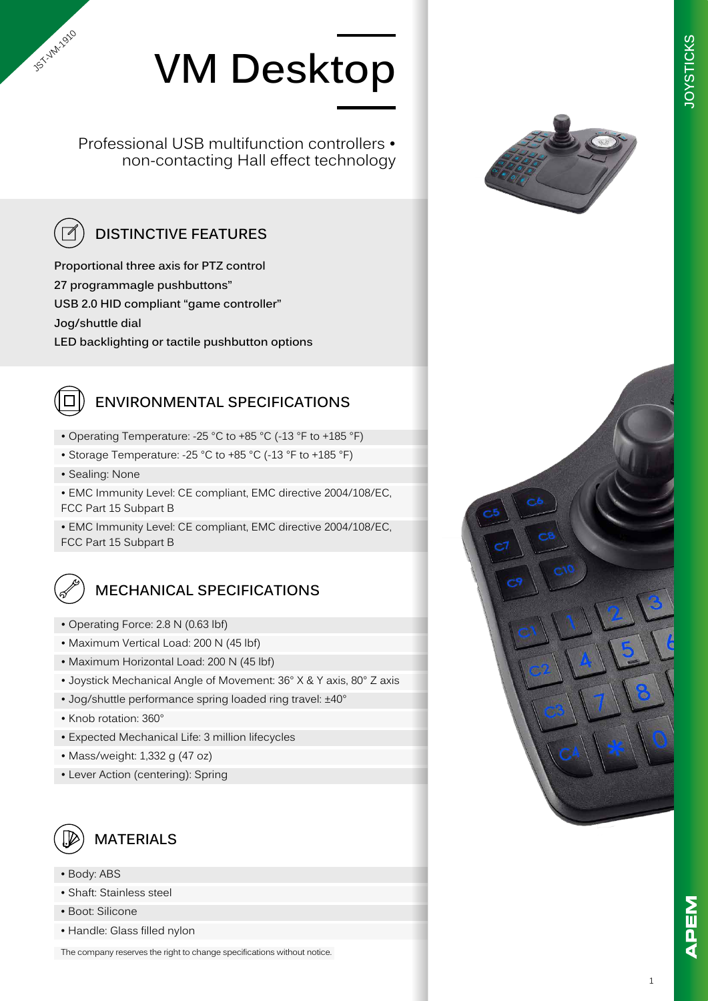

Professional USB multifunction controllers • non-contacting Hall effect technology



**Proportional three axis for PTZ control 27 programmagle pushbuttons" USB 2.0 HID compliant "game controller" Jog/shuttle dial LED backlighting or tactile pushbutton options**

## **ENVIRONMENTAL SPECIFICATIONS**

- Operating Temperature: -25 °C to +85 °C (-13 °F to +185 °F)
- Storage Temperature: -25 °C to +85 °C (-13 °F to +185 °F)
- Sealing: None

JST-VM-2010

• EMC Immunity Level: CE compliant, EMC directive 2004/108/EC, FCC Part 15 Subpart B

• EMC Immunity Level: CE compliant, EMC directive 2004/108/EC, FCC Part 15 Subpart B



- Operating Force: 2.8 N (0.63 lbf)
- Maximum Vertical Load: 200 N (45 lbf)
- Maximum Horizontal Load: 200 N (45 lbf)
- Joystick Mechanical Angle of Movement: 36° X & Y axis, 80° Z axis
- Jog/shuttle performance spring loaded ring travel: ±40°
- Knob rotation: 360°
- Expected Mechanical Life: 3 million lifecycles
- Mass/weight: 1,332 g (47 oz)
- Lever Action (centering): Spring



- Body: ABS
- Shaft: Stainless steel
- Boot: Silicone
- Handle: Glass filled nylon

The company reserves the right to change specifications without notice.



**JOYSTICKS**

**OYSTICKS** 



1